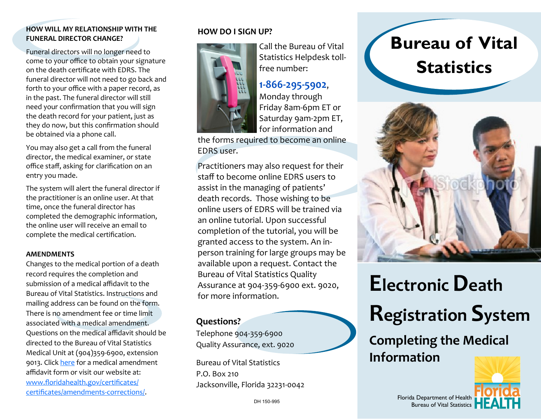### **HOW WILL MY RELATIONSHIP WITH THE FUNERAL DIRECTOR CHANGE?**

Funeral directors will no longer need to come to your office to obtain your signature on the death certificate with EDRS. The funeral director will not need to go back and forth to your office with a paper record, as in the past. The funeral director will still need your confirmation that you will sign the death record for your patient, just as they do now, but this confirmation should be obtained via a phone call.

You may also get a call from the funeral director, the medical examiner, or state office staff, asking for clarification on an entry you made.

The system will alert the funeral director if the practitioner is an online user. At that time, once the funeral director has completed the demographic information, the online user will receive an email to complete the medical certification.

### **AMENDMENTS**

Changes to the medical portion of a death record requires the completion and submission of a medical affidavit to the Bureau of Vital Statistics. Instructions and mailing address can be found on the form. There is no amendment fee or time limit associated with a medical amendment. Questions on the medical affidavit should be directed to the Bureau of Vital Statistics Medical Unit at (904)359-6900, extension 9013. Click [here](http://www.floridahealth.gov/certificates/certificates/amendments-corrections/_documents/DH_434A.pdf) for a medical amendment affidavit form or visit our website at: [www.floridahealth.gov/certificates/](http://www.floridahealth.gov/certificates/certificates/amendments-corrections/_documents/DH_434A.pdf) [certificates/amendments](http://www.floridahealth.gov/certificates/certificates/amendments-corrections/_documents/DH_434A.pdf)-corrections/.

### **HOW DO I SIGN UP?**



Call the Bureau of Vital Statistics Helpdesk tollfree number:

## **1-866-295-5902**,

Monday through Friday 8am-6pm ET or Saturday 9am-2pm ET, for information and

the forms required to become an online EDRS user.

Practitioners may also request for their staff to become online EDRS users to assist in the managing of patients' death records. Those wishing to be online users of EDRS will be trained via an online tutorial. Upon successful completion of the tutorial, you will be granted access to the system. An inperson training for large groups may be available upon a request. Contact the Bureau of Vital Statistics Quality Assurance at 904-359-6900 ext. 9020, for more information.

## **Questions?**

Telephone 904-359-6900 Quality Assurance, ext. 9020

Bureau of Vital Statistics P.O. Box 210 Jacksonville, Florida 32231-0042

# **Bureau of Vital Statistics**



# **Electronic Death**

# **Registration System**

## **Completing the Medical Information**